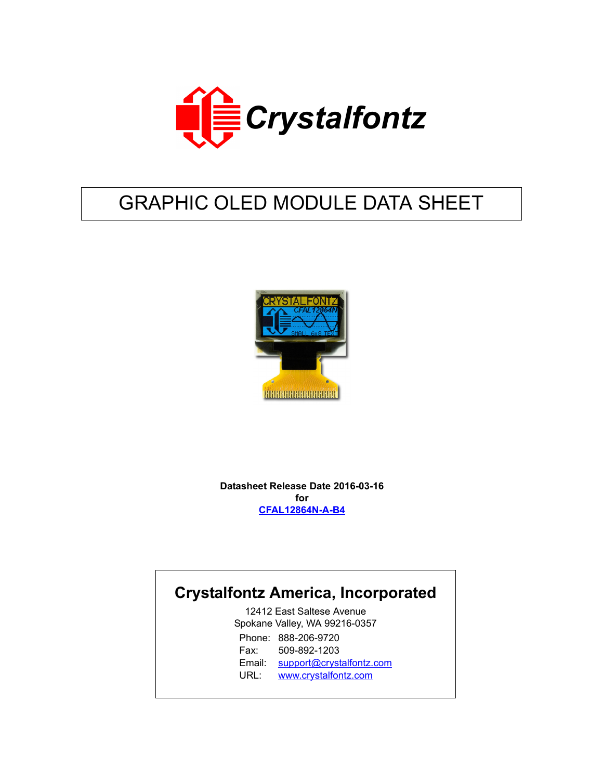

# GRAPHIC OLED MODULE DATA SHEET



**Datasheet Release Date 2016-03-16 for [CFAL12864N-A-B4](http://www.crystalfontz.com/product/CFAL12864NAB4)**

## **Crystalfontz America, Incorporated**

12412 East Saltese Avenue Spokane Valley, WA 99216-0357 Phone: 888-206-9720 Fax: 509-892-1203 Email: [support@crystalfontz.com](mailto:support@crystalfontz.com) URL: [www.crystalfontz.com](http://www.crystalfontz.com)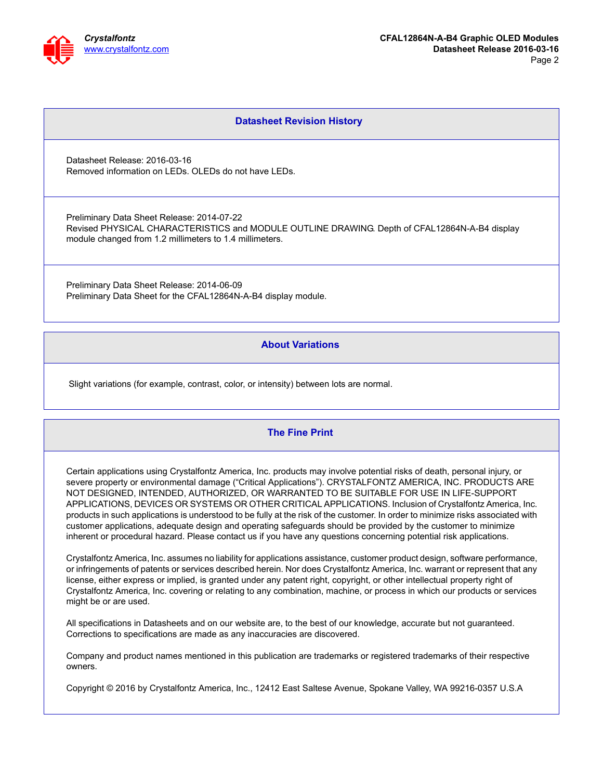

#### **Datasheet Revision History**

Datasheet Release: 2016-03-16 Removed information on LEDs. OLEDs do not have LEDs.

Preliminary Data Sheet Release: 2014-07-22 Revised PHYSICAL CHARACTERISTICS and MODULE OUTLINE DRAWING. Depth of CFAL12864N-A-B4 display module changed from 1.2 millimeters to 1.4 millimeters.

Preliminary Data Sheet Release: 2014-06-09 Preliminary Data Sheet for the CFAL12864N-A-B4 display module.

#### **About Variations**

Slight variations (for example, contrast, color, or intensity) between lots are normal.

#### **The Fine Print**

Certain applications using Crystalfontz America, Inc. products may involve potential risks of death, personal injury, or severe property or environmental damage ("Critical Applications"). CRYSTALFONTZ AMERICA, INC. PRODUCTS ARE NOT DESIGNED, INTENDED, AUTHORIZED, OR WARRANTED TO BE SUITABLE FOR USE IN LIFE-SUPPORT APPLICATIONS, DEVICES OR SYSTEMS OR OTHER CRITICAL APPLICATIONS. Inclusion of Crystalfontz America, Inc. products in such applications is understood to be fully at the risk of the customer. In order to minimize risks associated with customer applications, adequate design and operating safeguards should be provided by the customer to minimize inherent or procedural hazard. Please contact us if you have any questions concerning potential risk applications.

Crystalfontz America, Inc. assumes no liability for applications assistance, customer product design, software performance, or infringements of patents or services described herein. Nor does Crystalfontz America, Inc. warrant or represent that any license, either express or implied, is granted under any patent right, copyright, or other intellectual property right of Crystalfontz America, Inc. covering or relating to any combination, machine, or process in which our products or services might be or are used.

All specifications in Datasheets and on our website are, to the best of our knowledge, accurate but not guaranteed. Corrections to specifications are made as any inaccuracies are discovered.

Company and product names mentioned in this publication are trademarks or registered trademarks of their respective owners.

Copyright © 2016 by Crystalfontz America, Inc., 12412 East Saltese Avenue, Spokane Valley, WA 99216-0357 U.S.A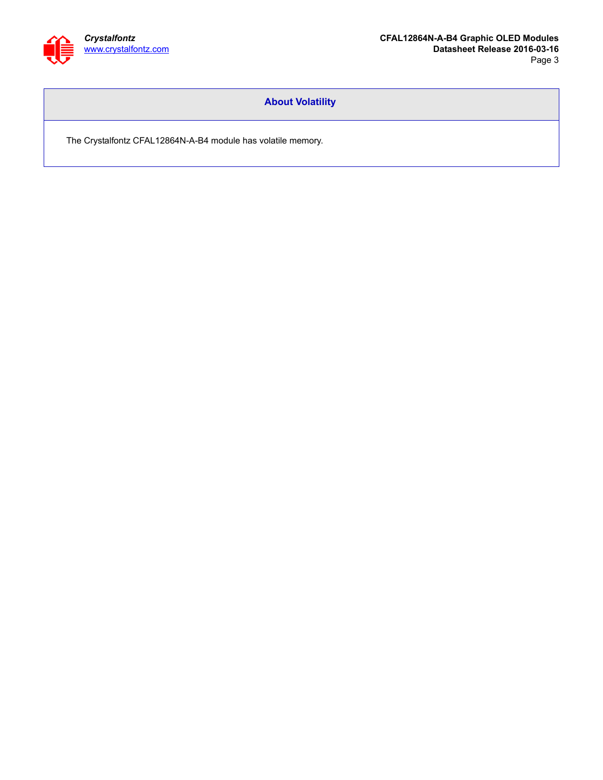

#### **About Volatility**

The Crystalfontz CFAL12864N-A-B4 module has volatile memory.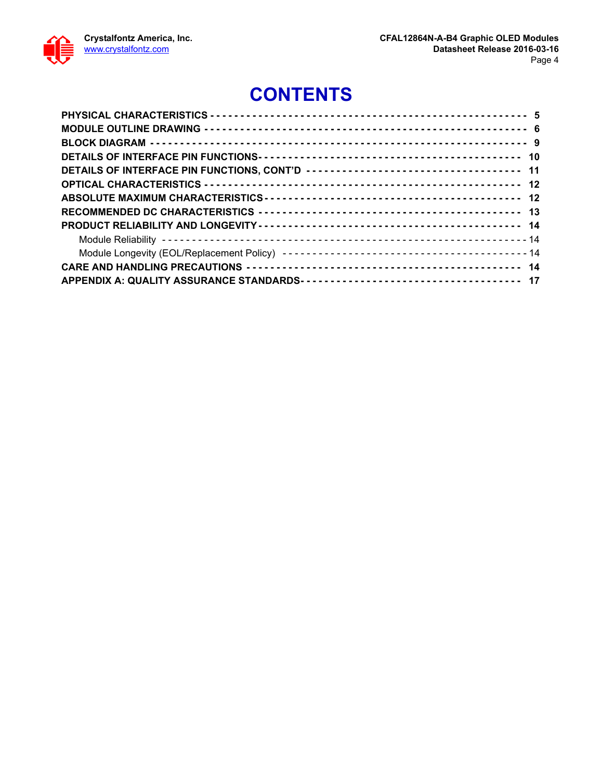

## **CONTENTS**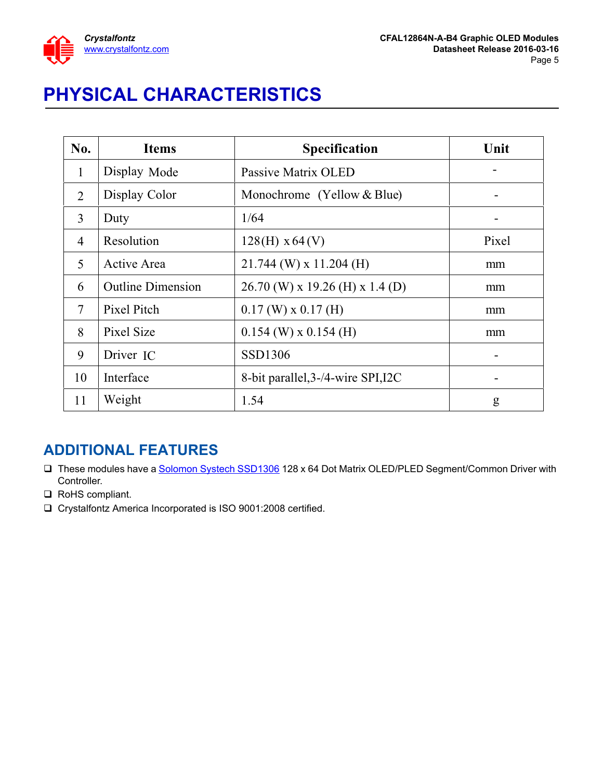

# <span id="page-4-0"></span>**PHYSICAL CHARACTERISTICS**

| No.          | <b>Items</b>             | <b>Specification</b>               | Unit  |
|--------------|--------------------------|------------------------------------|-------|
| $\mathbf{1}$ | Display Mode             | Passive Matrix OLED                |       |
| 2            | Display Color            | Monochrome (Yellow $&Blue$ )       |       |
| 3            | Duty                     | 1/64                               |       |
| 4            | Resolution               | $128(H) \times 64(V)$              | Pixel |
| 5            | Active Area              | $21.744$ (W) x 11.204 (H)          | mm    |
| 6            | <b>Outline Dimension</b> | $26.70$ (W) x 19.26 (H) x 1.4 (D)  | mm    |
| 7            | Pixel Pitch              | $0.17$ (W) x $0.17$ (H)            | mm    |
| 8            | Pixel Size               | $0.154$ (W) x $0.154$ (H)          | mm    |
| 9            | Driver IC                | SSD1306                            |       |
| 10           | Interface                | 8-bit parallel, 3-/4-wire SPI, I2C |       |
| 11           | Weight                   | 1.54                               | g     |

## **ADDITIONAL FEATURES**

- □ These modules have a [Solomon Systech SSD1306](http://crystalfontz.com/controllers/Solomon%20Systech/SSD1306) 128 x 64 Dot Matrix OLED/PLED Segment/Common Driver with Controller.
- □ RoHS compliant.
- Crystalfontz America Incorporated is ISO 9001:2008 certified.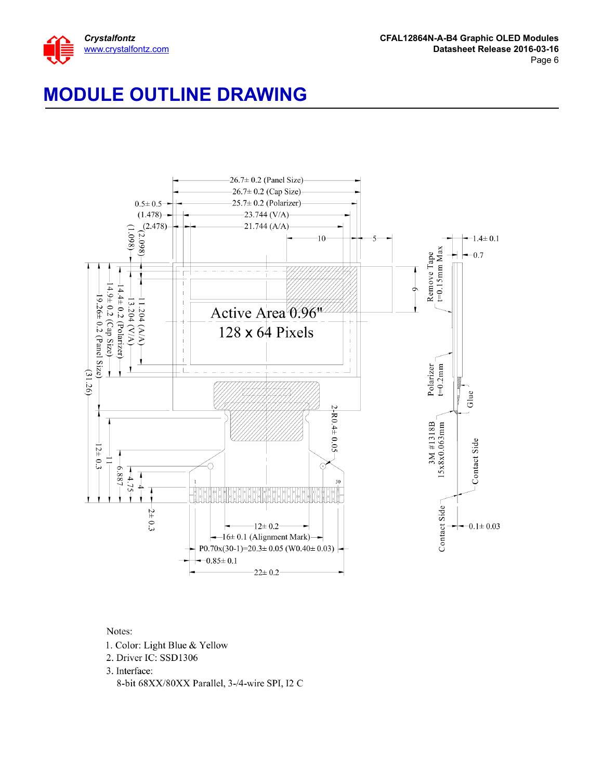

## <span id="page-5-0"></span>**MODULE OUTLINE DRAWING**



#### Notes:

- 1. Color: Light Blue & Yellow
- 2. Driver IC: SSD1306

3. Interface: 8-bit 68XX/80XX Parallel, 3-/4-wire SPI, I2 C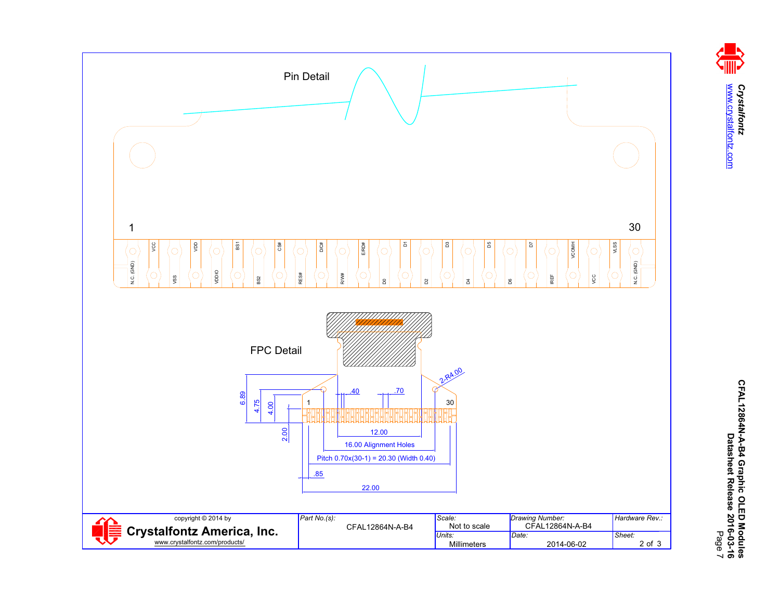

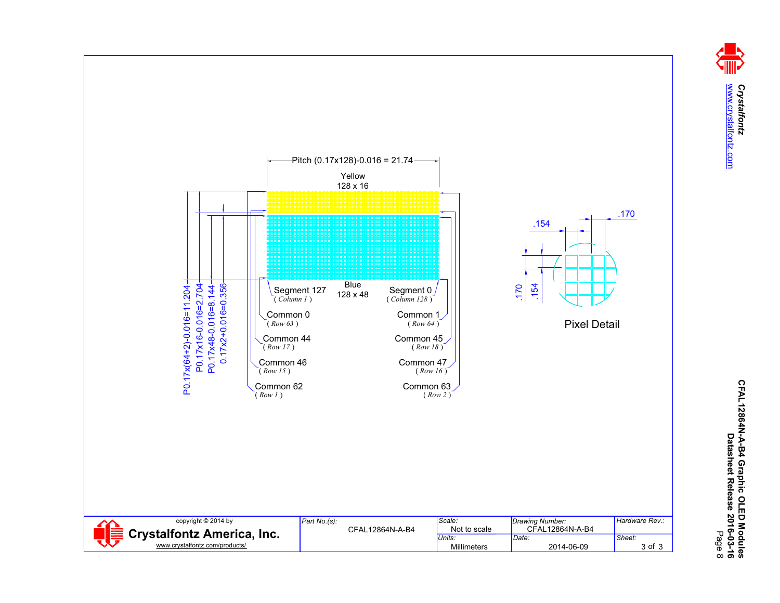Crystalfontz<br>www.crystalfontz.com [www.crystalfontz.com](http://www.crystalfontz.com) *Crystalfontz*

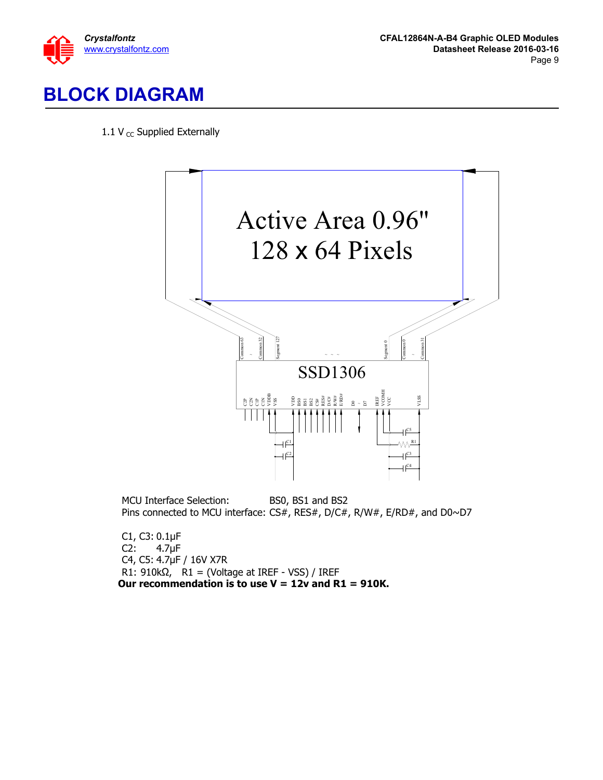

#### <span id="page-8-0"></span>**BLOCK DIAGRAM**  $\ddot{\phantom{0}}$

1.1 V  $_{\text{CC}}$  Supplied Externally



MCU Interface Selection: BS0, BS1 and BS2 Pins connected to MCU interface: CS#, RES#, D/C#, R/W#, E/RD#, and D0~D7

C1, C3:  $0.1 \mu F$ <br>C2:  $4.7 \mu F$  $4.7<sub>µF</sub>$ C4, C5: 4.7µF / 16V X7R R1:  $910k\Omega$ , R1 = (Voltage at IREF - VSS) / IREF **Our recommendation is to use V = 12v and R1 = 910K.**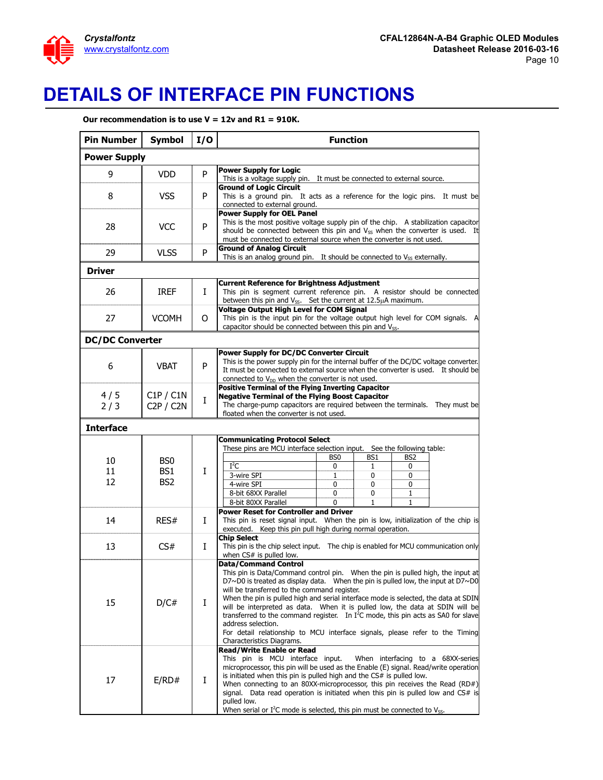

## <span id="page-9-0"></span>**DETAILS OF INTERFACE PIN FUNCTIONS**

**Our recommendation is to use V = 12v and R1 = 910K.**

| <b>Pin Number</b>      | <b>Symbol</b>                             | I/O | <b>Function</b>                                                                                                                                                                                                                                                                                                                                                                                                                                                                                                                                                                                                                       |  |  |  |  |
|------------------------|-------------------------------------------|-----|---------------------------------------------------------------------------------------------------------------------------------------------------------------------------------------------------------------------------------------------------------------------------------------------------------------------------------------------------------------------------------------------------------------------------------------------------------------------------------------------------------------------------------------------------------------------------------------------------------------------------------------|--|--|--|--|
| <b>Power Supply</b>    |                                           |     |                                                                                                                                                                                                                                                                                                                                                                                                                                                                                                                                                                                                                                       |  |  |  |  |
| 9                      | <b>VDD</b>                                | P   | <b>Power Supply for Logic</b><br>This is a voltage supply pin. It must be connected to external source.                                                                                                                                                                                                                                                                                                                                                                                                                                                                                                                               |  |  |  |  |
| 8                      | <b>VSS</b>                                | P   | <b>Ground of Logic Circuit</b><br>This is a ground pin. It acts as a reference for the logic pins. It must be<br>connected to external ground.                                                                                                                                                                                                                                                                                                                                                                                                                                                                                        |  |  |  |  |
| 28                     | <b>VCC</b>                                | P   | <b>Power Supply for OEL Panel</b><br>This is the most positive voltage supply pin of the chip. A stabilization capacitor<br>should be connected between this pin and V <sub>SS</sub> when the converter is used. It<br>must be connected to external source when the converter is not used.                                                                                                                                                                                                                                                                                                                                           |  |  |  |  |
| 29                     | <b>VLSS</b>                               | P   | <b>Ground of Analog Circuit</b><br>This is an analog ground pin. It should be connected to V <sub>SS</sub> externally.                                                                                                                                                                                                                                                                                                                                                                                                                                                                                                                |  |  |  |  |
| <b>Driver</b>          |                                           |     |                                                                                                                                                                                                                                                                                                                                                                                                                                                                                                                                                                                                                                       |  |  |  |  |
| 26                     | <b>IREF</b>                               | L   | <b>Current Reference for Brightness Adjustment</b><br>This pin is segment current reference pin. A resistor should be connected<br>between this pin and $V_{SS}$ . Set the current at 12.5 $\mu$ A maximum.                                                                                                                                                                                                                                                                                                                                                                                                                           |  |  |  |  |
| 27                     | <b>VCOMH</b>                              | O   | <b>Voltage Output High Level for COM Signal</b><br>This pin is the input pin for the voltage output high level for COM signals. A<br>capacitor should be connected between this pin and V <sub>ss</sub> .                                                                                                                                                                                                                                                                                                                                                                                                                             |  |  |  |  |
| <b>DC/DC Converter</b> |                                           |     |                                                                                                                                                                                                                                                                                                                                                                                                                                                                                                                                                                                                                                       |  |  |  |  |
| 6                      | <b>VBAT</b>                               | P   | <b>Power Supply for DC/DC Converter Circuit</b><br>This is the power supply pin for the internal buffer of the DC/DC voltage converter.<br>It must be connected to external source when the converter is used. It should be<br>connected to V <sub>DD</sub> when the converter is not used.                                                                                                                                                                                                                                                                                                                                           |  |  |  |  |
| 4/5<br>2/3             | C1P / C1N<br>C2P / C2N                    | Ι   | <b>Positive Terminal of the Flying Inverting Capacitor</b><br><b>Negative Terminal of the Flying Boost Capacitor</b><br>The charge-pump capacitors are required between the terminals. They must be<br>floated when the converter is not used.                                                                                                                                                                                                                                                                                                                                                                                        |  |  |  |  |
| <b>Interface</b>       |                                           |     |                                                                                                                                                                                                                                                                                                                                                                                                                                                                                                                                                                                                                                       |  |  |  |  |
| 10<br>11<br>12         | BS0<br>BS <sub>1</sub><br>BS <sub>2</sub> | Ι   | <b>Communicating Protocol Select</b><br>These pins are MCU interface selection input. See the following table:<br>BS1<br>BS2<br>BS0<br>$I^2C$<br>0<br>0<br>1<br>3-wire SPI<br>0<br>1<br>0<br>4-wire SPI<br>0<br>0<br>0<br>8-bit 68XX Parallel<br>0<br>0<br>1                                                                                                                                                                                                                                                                                                                                                                          |  |  |  |  |
|                        |                                           |     | 8-bit 80XX Parallel<br>0<br>$\mathbf{1}$<br>$\mathbf{1}$                                                                                                                                                                                                                                                                                                                                                                                                                                                                                                                                                                              |  |  |  |  |
| 14                     | RES#                                      | L   | <b>Power Reset for Controller and Driver</b><br>This pin is reset signal input. When the pin is low, initialization of the chip is<br>executed. Keep this pin pull high during normal operation.                                                                                                                                                                                                                                                                                                                                                                                                                                      |  |  |  |  |
| 13                     | CS#                                       | Ι   | <b>Chip Select</b><br>This pin is the chip select input.  The chip is enabled for MCU communication only<br>when CS# is pulled low.                                                                                                                                                                                                                                                                                                                                                                                                                                                                                                   |  |  |  |  |
| 15                     | D/C#                                      | Ι   | <b>Data/Command Control</b><br>This pin is Data/Command control pin.  When the pin is pulled high, the input at<br>$D7~\sim$ D0 is treated as display data. When the pin is pulled low, the input at $D7~\sim$ D0<br>will be transferred to the command register.<br>When the pin is pulled high and serial interface mode is selected, the data at SDIN<br>will be interpreted as data. When it is pulled low, the data at SDIN will be<br>transferred to the command register. In $I^2C$ mode, this pin acts as SA0 for slave<br>address selection.<br>For detail relationship to MCU interface signals, please refer to the Timing |  |  |  |  |
| 17                     | E/RD#                                     | Ι.  | Characteristics Diagrams.<br><b>Read/Write Enable or Read</b><br>This pin is MCU interface input.<br>When interfacing to a 68XX-series<br>microprocessor, this pin will be used as the Enable (E) signal. Read/write operation<br>is initiated when this pin is pulled high and the CS# is pulled low.<br>When connecting to an 80XX-microprocessor, this pin receives the Read $(RD#)$<br>signal. Data read operation is initiated when this pin is pulled low and CS# is<br>pulled low.<br>When serial or $I^2C$ mode is selected, this pin must be connected to $V_{SS}$ .                                                         |  |  |  |  |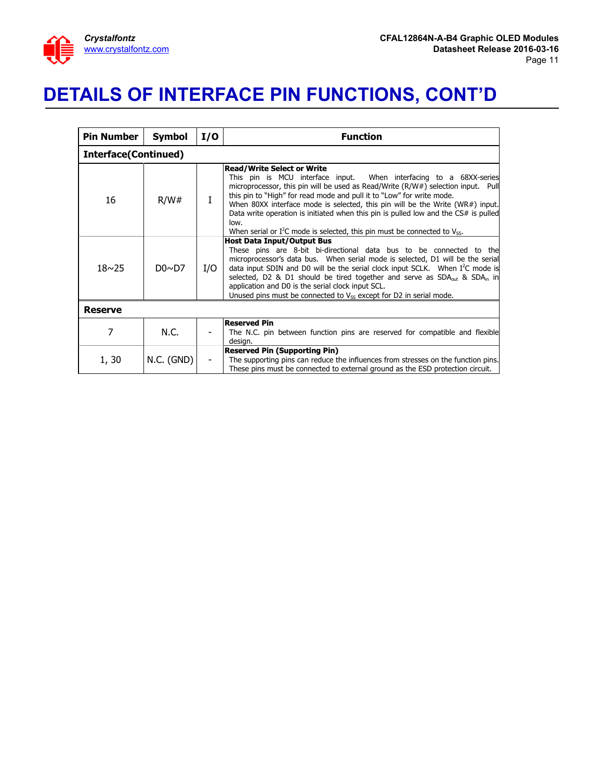

## <span id="page-10-0"></span>**DETAILS OF INTERFACE PIN FUNCTIONS, CONT'D**

| <b>Pin Number</b>           | <b>Symbol</b> | I/O | <b>Function</b>                                                                                                                                                                                                                                                                                                                                                                                                                                                                                                                          |  |  |  |  |
|-----------------------------|---------------|-----|------------------------------------------------------------------------------------------------------------------------------------------------------------------------------------------------------------------------------------------------------------------------------------------------------------------------------------------------------------------------------------------------------------------------------------------------------------------------------------------------------------------------------------------|--|--|--|--|
| <b>Interface(Continued)</b> |               |     |                                                                                                                                                                                                                                                                                                                                                                                                                                                                                                                                          |  |  |  |  |
| 16                          | R/W#          |     | <b>Read/Write Select or Write</b><br>This pin is MCU interface input. When interfacing to a 68XX-series<br>microprocessor, this pin will be used as Read/Write (R/W#) selection input. Pull<br>this pin to "High" for read mode and pull it to "Low" for write mode.<br>When 80XX interface mode is selected, this pin will be the Write (WR#) input.<br>Data write operation is initiated when this pin is pulled low and the CS# is pulled<br>low.<br>When serial or $I^2C$ mode is selected, this pin must be connected to $V_{SS}$ . |  |  |  |  |
| $18 \sim 25$                | DO~D          | I/O | <b>Host Data Input/Output Bus</b><br>These pins are 8-bit bi-directional data bus to be connected to the<br>microprocessor's data bus. When serial mode is selected, D1 will be the serial<br>data input SDIN and D0 will be the serial clock input SCLK. When I <sup>2</sup> C mode is<br>selected, D2 & D1 should be tired together and serve as $SDAout$ & $SDAin$ in<br>application and D0 is the serial clock input SCL.<br>Unused pins must be connected to $V_{SS}$ except for D2 in serial mode.                                 |  |  |  |  |
| <b>Reserve</b>              |               |     |                                                                                                                                                                                                                                                                                                                                                                                                                                                                                                                                          |  |  |  |  |
| 7                           | N.C.          |     | <b>Reserved Pin</b><br>The N.C. pin between function pins are reserved for compatible and flexible<br>design.                                                                                                                                                                                                                                                                                                                                                                                                                            |  |  |  |  |
| 1, 30                       | N.C. (GND)    |     | <b>Reserved Pin (Supporting Pin)</b><br>The supporting pins can reduce the influences from stresses on the function pins.<br>These pins must be connected to external ground as the ESD protection circuit.                                                                                                                                                                                                                                                                                                                              |  |  |  |  |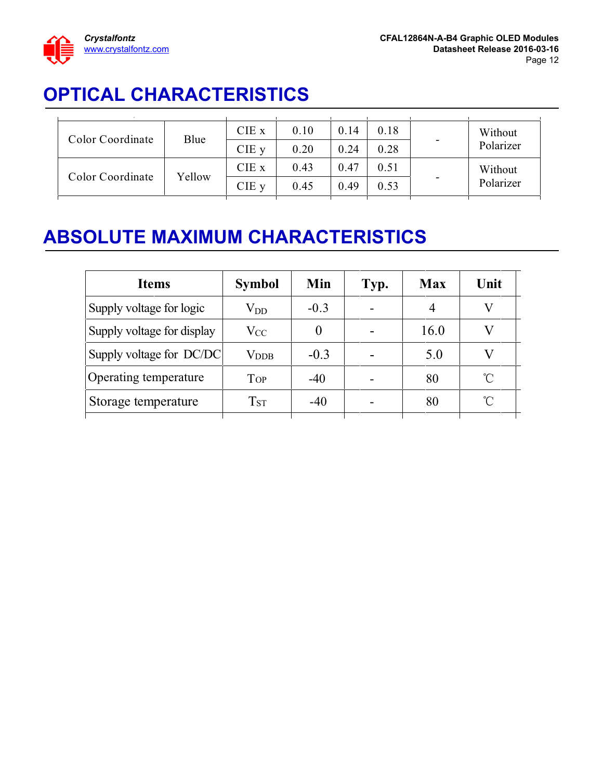

## <span id="page-11-0"></span>**OPTICAL CHARACTERISTICS**

| Color Coordinate | Blue   | CIE x   | 0.10 | 0.14 | 0.18 | $\overline{\phantom{a}}$ | Without<br>Polarizer |
|------------------|--------|---------|------|------|------|--------------------------|----------------------|
|                  |        | $CIE$ y | 0.20 | 0.24 | 0.28 |                          |                      |
| Color Coordinate | Yellow | CIE x   | 0.43 | 0.47 | 0.51 | $\overline{\phantom{a}}$ | Without<br>Polarizer |
|                  |        | CIE y   | 0.45 | 0.49 | 0.53 |                          |                      |
|                  |        |         |      |      |      |                          |                      |

## <span id="page-11-1"></span>**ABSOLUTE MAXIMUM CHARACTERISTICS**

| <b>Items</b>               | <b>Symbol</b>                          | Min    | Typ. | <b>Max</b> | Unit |
|----------------------------|----------------------------------------|--------|------|------------|------|
| Supply voltage for logic   | $\rm V_{DD}$                           | $-0.3$ |      |            |      |
| Supply voltage for display | $V_{CC}$                               |        |      | 16.0       |      |
| Supply voltage for DC/DC   | $V_{\rm DDB}$                          | $-0.3$ |      | 5.0        |      |
| Operating temperature      | <b>TOP</b>                             | $-40$  |      | 80         | U    |
| Storage temperature        | $\operatorname{T}_{\operatorname{ST}}$ | $-40$  |      | 80         | ุึ∩  |
|                            |                                        |        |      |            |      |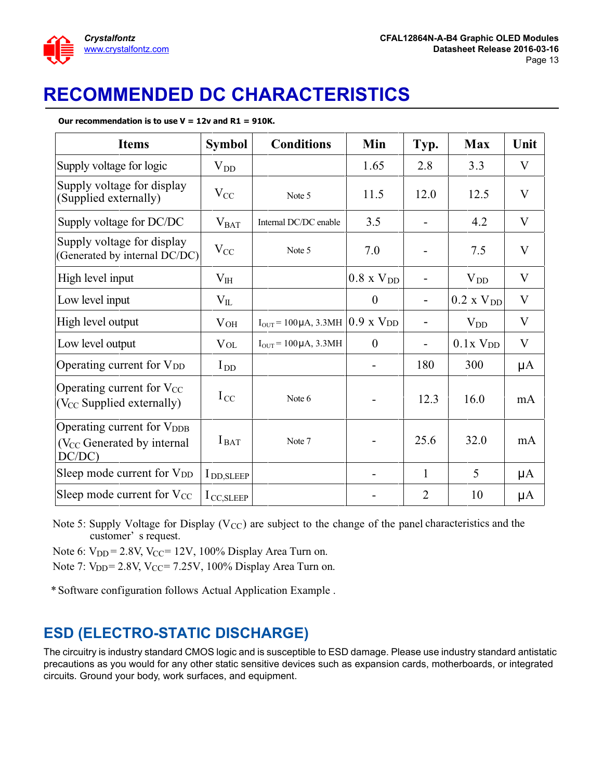

# <span id="page-12-0"></span>**RECOMMENDED DC CHARACTERISTICS**

#### **Our recommendation is to use V = 12v and R1 = 910K.**

| <b>Items</b>                                                                              | <b>Symbol</b>          | <b>Conditions</b>                                   | Min                      | Typ.                     | <b>Max</b>          | Unit             |
|-------------------------------------------------------------------------------------------|------------------------|-----------------------------------------------------|--------------------------|--------------------------|---------------------|------------------|
| Supply voltage for logic                                                                  | $V_{DD}$               |                                                     | 1.65                     | 2.8                      | 3.3                 | V                |
| Supply voltage for display<br>(Supplied externally)                                       | $V_{CC}$               | Note 5                                              | 11.5                     | 12.0                     | 12.5                | V                |
| Supply voltage for DC/DC                                                                  | $V_{BAT}$              | Internal DC/DC enable                               | 3.5                      | $\overline{\phantom{a}}$ | 4.2                 | V                |
| Supply voltage for display<br>(Generated by internal DC/DC)                               | $V_{CC}$               | Note 5                                              | 7.0                      |                          | 7.5                 | $\mathbf{V}$     |
| High level input                                                                          | $V_{HH}$               |                                                     | $0.8 \times V_{DD}$      |                          | $V_{DD}$            | $\rm V$          |
| Low level input                                                                           | $\rm V_{II}$           |                                                     | $\boldsymbol{0}$         |                          | $0.2 \times V_{DD}$ | V                |
| High level output                                                                         | $V_{OH}$               | $I_{OUT}$ = 100 µA, 3.3MH $(0.9 \text{ x } V_{DD})$ |                          | $\qquad \qquad$          | $V_{DD}$            | $\mathbf{V}$     |
| Low level output                                                                          | <b>V</b> <sub>OL</sub> | $I_{OUT} = 100 \mu A, 3.3 MHz$                      | $\overline{0}$           | $\blacksquare$           | $0.1x$ $VDD$        | V                |
| Operating current for V <sub>DD</sub>                                                     | $I_{DD}$               |                                                     |                          | 180                      | 300                 | $\mu A$          |
| Operating current for V <sub>CC</sub><br>$(V_{CC}$ Supplied externally)                   | $I_{\text{CC}}$        | Note 6                                              |                          | 12.3                     | 16.0                | mA               |
| Operating current for V <sub>DDB</sub><br>(V <sub>CC</sub> Generated by internal<br>DC/DC | $I_{\text{BAT}}$       | Note 7                                              |                          | 25.6                     | 32.0                | mA               |
| Sleep mode current for V <sub>DD</sub>                                                    | I DD, SLEEP            |                                                     | $\overline{\phantom{a}}$ | 1                        | 5                   | $\mathsf{\mu A}$ |
| Sleep mode current for V <sub>CC</sub>                                                    | $1_{\text{CC,SLEEP}}$  |                                                     |                          | $\overline{2}$           | 10                  | $\mathsf{\mu A}$ |

Note 5: Supply Voltage for Display ( $V_{CC}$ ) are subject to the change of the panel characteristics and the customer' s request.

Note 6:  $V_{DD} = 2.8V$ ,  $V_{CC} = 12V$ , 100% Display Area Turn on.

Note 7:  $V_{DD} = 2.8V$ ,  $V_{CC} = 7.25V$ , 100% Display Area Turn on.

\* Software configuration follows Actual Application Example .

#### **ESD (ELECTRO-STATIC DISCHARGE)**

The circuitry is industry standard CMOS logic and is susceptible to ESD damage. Please use industry standard antistatic precautions as you would for any other static sensitive devices such as expansion cards, motherboards, or integrated circuits. Ground your body, work surfaces, and equipment.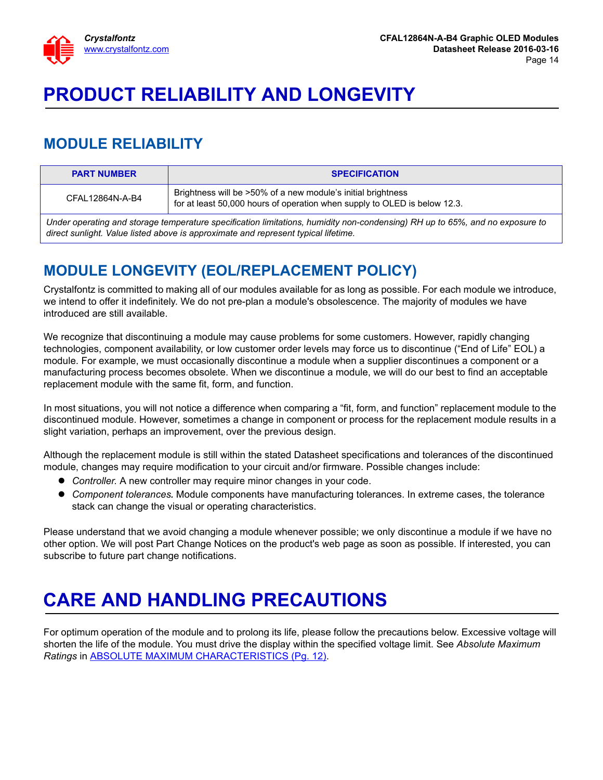

# <span id="page-13-0"></span>**PRODUCT RELIABILITY AND LONGEVITY**

## <span id="page-13-1"></span>**MODULE RELIABILITY**

| <b>PART NUMBER</b>                                                                                                                                                                                                 | <b>SPECIFICATION</b>                                                                                                                      |  |  |  |  |
|--------------------------------------------------------------------------------------------------------------------------------------------------------------------------------------------------------------------|-------------------------------------------------------------------------------------------------------------------------------------------|--|--|--|--|
| CFAL12864N-A-B4                                                                                                                                                                                                    | Brightness will be >50% of a new module's initial brightness<br>for at least 50,000 hours of operation when supply to OLED is below 12.3. |  |  |  |  |
| Under operating and storage temperature specification limitations, humidity non-condensing) RH up to 65%, and no exposure to<br>direct sunlight. Value listed above is approximate and represent typical lifetime. |                                                                                                                                           |  |  |  |  |

## <span id="page-13-2"></span>**MODULE LONGEVITY (EOL/REPLACEMENT POLICY)**

Crystalfontz is committed to making all of our modules available for as long as possible. For each module we introduce, we intend to offer it indefinitely. We do not pre-plan a module's obsolescence. The majority of modules we have introduced are still available.

We recognize that discontinuing a module may cause problems for some customers. However, rapidly changing technologies, component availability, or low customer order levels may force us to discontinue ("End of Life" EOL) a module. For example, we must occasionally discontinue a module when a supplier discontinues a component or a manufacturing process becomes obsolete. When we discontinue a module, we will do our best to find an acceptable replacement module with the same fit, form, and function.

In most situations, you will not notice a difference when comparing a "fit, form, and function" replacement module to the discontinued module. However, sometimes a change in component or process for the replacement module results in a slight variation, perhaps an improvement, over the previous design.

Although the replacement module is still within the stated Datasheet specifications and tolerances of the discontinued module, changes may require modification to your circuit and/or firmware. Possible changes include:

- *Controller.* A new controller may require minor changes in your code.
- *Component tolerances.* Module components have manufacturing tolerances. In extreme cases, the tolerance stack can change the visual or operating characteristics.

Please understand that we avoid changing a module whenever possible; we only discontinue a module if we have no other option. We will post Part Change Notices on the product's web page as soon as possible. If interested, you can subscribe to future part change notifications.

# <span id="page-13-3"></span>**CARE AND HANDLING PRECAUTIONS**

For optimum operation of the module and to prolong its life, please follow the precautions below. Excessive voltage will shorten the life of the module. You must drive the display within the specified voltage limit. See *Absolute Maximum Ratings* in [ABSOLUTE MAXIMUM CHARACTERISTICS \(Pg. 12\).](#page-11-1)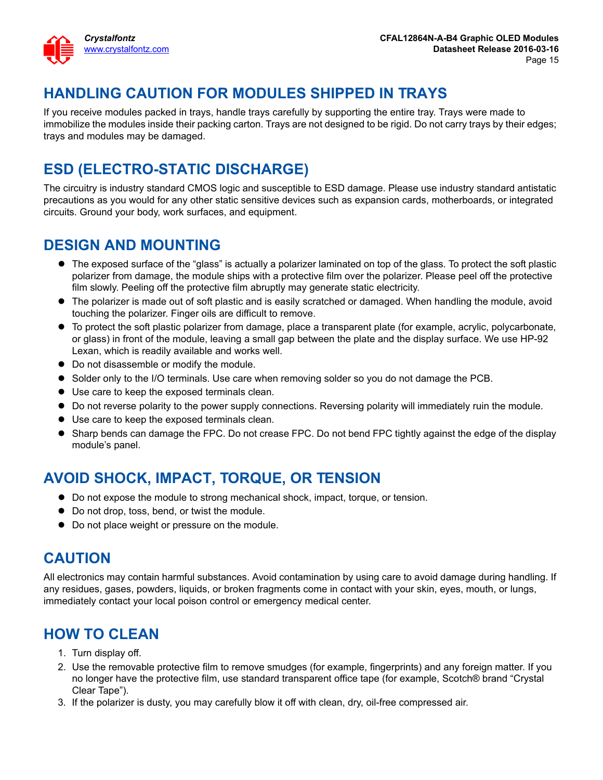

## **HANDLING CAUTION FOR MODULES SHIPPED IN TRAYS**

If you receive modules packed in trays, handle trays carefully by supporting the entire tray. Trays were made to immobilize the modules inside their packing carton. Trays are not designed to be rigid. Do not carry trays by their edges; trays and modules may be damaged.

## **ESD (ELECTRO-STATIC DISCHARGE)**

The circuitry is industry standard CMOS logic and susceptible to ESD damage. Please use industry standard antistatic precautions as you would for any other static sensitive devices such as expansion cards, motherboards, or integrated circuits. Ground your body, work surfaces, and equipment.

#### **DESIGN AND MOUNTING**

- The exposed surface of the "glass" is actually a polarizer laminated on top of the glass. To protect the soft plastic polarizer from damage, the module ships with a protective film over the polarizer. Please peel off the protective film slowly. Peeling off the protective film abruptly may generate static electricity.
- The polarizer is made out of soft plastic and is easily scratched or damaged. When handling the module, avoid touching the polarizer. Finger oils are difficult to remove.
- To protect the soft plastic polarizer from damage, place a transparent plate (for example, acrylic, polycarbonate, or glass) in front of the module, leaving a small gap between the plate and the display surface. We use HP-92 Lexan, which is readily available and works well.
- $\bullet$  Do not disassemble or modify the module.
- **Solder only to the I/O terminals. Use care when removing solder so you do not damage the PCB.**
- Use care to keep the exposed terminals clean.
- Do not reverse polarity to the power supply connections. Reversing polarity will immediately ruin the module.
- Use care to keep the exposed terminals clean.
- Sharp bends can damage the FPC. Do not crease FPC. Do not bend FPC tightly against the edge of the display module's panel.

## **AVOID SHOCK, IMPACT, TORQUE, OR TENSION**

- Do not expose the module to strong mechanical shock, impact, torque, or tension.
- Do not drop, toss, bend, or twist the module.
- $\bullet$  Do not place weight or pressure on the module.

#### **CAUTION**

All electronics may contain harmful substances. Avoid contamination by using care to avoid damage during handling. If any residues, gases, powders, liquids, or broken fragments come in contact with your skin, eyes, mouth, or lungs, immediately contact your local poison control or emergency medical center.

## **HOW TO CLEAN**

- 1. Turn display off.
- 2. Use the removable protective film to remove smudges (for example, fingerprints) and any foreign matter. If you no longer have the protective film, use standard transparent office tape (for example, Scotch® brand "Crystal Clear Tape").
- 3. If the polarizer is dusty, you may carefully blow it off with clean, dry, oil-free compressed air.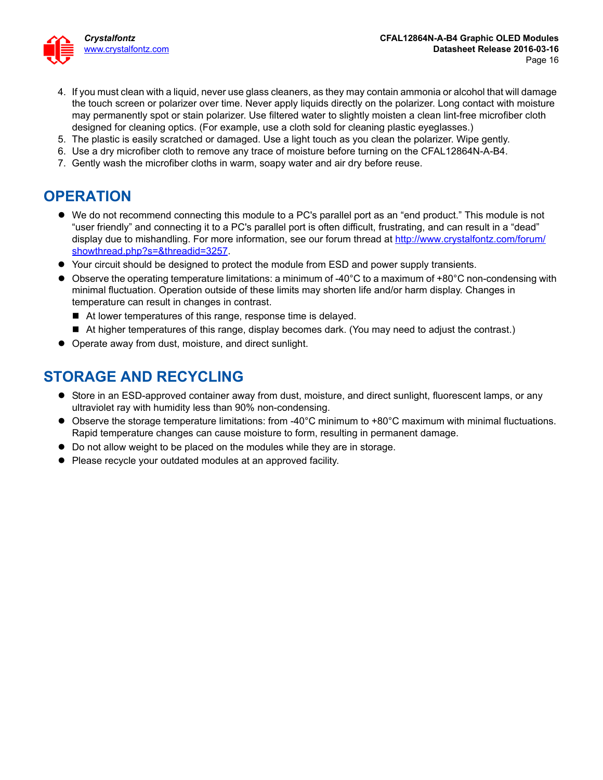

- 4. If you must clean with a liquid, never use glass cleaners, as they may contain ammonia or alcohol that will damage the touch screen or polarizer over time. Never apply liquids directly on the polarizer. Long contact with moisture may permanently spot or stain polarizer. Use filtered water to slightly moisten a clean lint-free microfiber cloth designed for cleaning optics. (For example, use a cloth sold for cleaning plastic eyeglasses.)
- 5. The plastic is easily scratched or damaged. Use a light touch as you clean the polarizer. Wipe gently.
- 6. Use a dry microfiber cloth to remove any trace of moisture before turning on the CFAL12864N-A-B4.
- 7. Gently wash the microfiber cloths in warm, soapy water and air dry before reuse.

## **OPERATION**

- We do not recommend connecting this module to a PC's parallel port as an "end product." This module is not "user friendly" and connecting it to a PC's parallel port is often difficult, frustrating, and can result in a "dead" display due to mishandling. For more information, see our forum thread at [http://www.crystalfontz.com/forum/](http://www.crystalfontz.com/forum/showthread.php?s=&threadid=3257) [showthread.php?s=&threadid=3257](http://www.crystalfontz.com/forum/showthread.php?s=&threadid=3257).
- Your circuit should be designed to protect the module from ESD and power supply transients.
- Observe the operating temperature limitations: a minimum of -40°C to a maximum of +80°C non-condensing with minimal fluctuation. Operation outside of these limits may shorten life and/or harm display. Changes in temperature can result in changes in contrast.
	- At lower temperatures of this range, response time is delayed.
	- At higher temperatures of this range, display becomes dark. (You may need to adjust the contrast.)
- Operate away from dust, moisture, and direct sunlight.

#### **STORAGE AND RECYCLING**

- Store in an ESD-approved container away from dust, moisture, and direct sunlight, fluorescent lamps, or any ultraviolet ray with humidity less than 90% non-condensing.
- Observe the storage temperature limitations: from -40°C minimum to +80°C maximum with minimal fluctuations. Rapid temperature changes can cause moisture to form, resulting in permanent damage.
- Do not allow weight to be placed on the modules while they are in storage.
- Please recycle your outdated modules at an approved facility.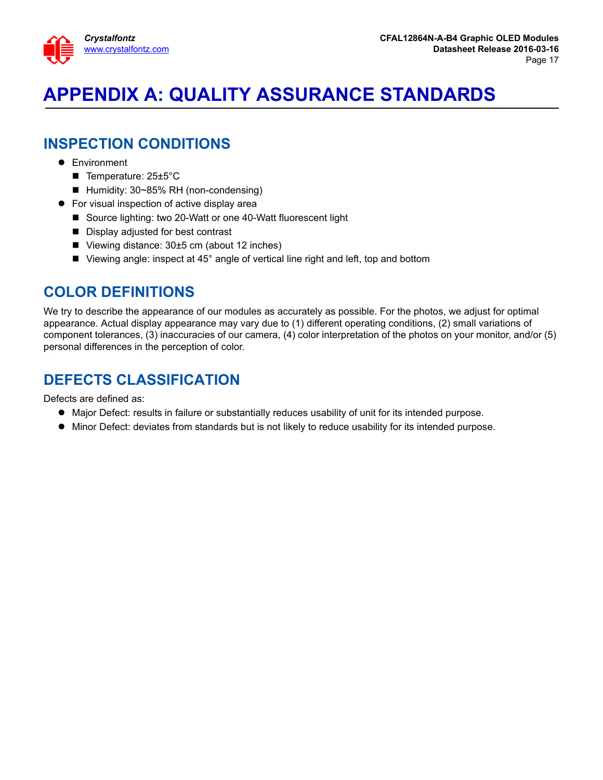

# <span id="page-16-0"></span>**APPENDIX A: QUALITY ASSURANCE STANDARDS**

### **INSPECTION CONDITIONS**

- **•** Environment
	- Temperature: 25±5°C
	- Humidity: 30~85% RH (non-condensing)
- For visual inspection of active display area
	- Source lighting: two 20-Watt or one 40-Watt fluorescent light
	- Display adjusted for best contrast
	- Viewing distance:  $30±5$  cm (about 12 inches)
	- Viewing angle: inspect at 45° angle of vertical line right and left, top and bottom

#### **COLOR DEFINITIONS**

We try to describe the appearance of our modules as accurately as possible. For the photos, we adjust for optimal appearance. Actual display appearance may vary due to (1) different operating conditions, (2) small variations of component tolerances, (3) inaccuracies of our camera, (4) color interpretation of the photos on your monitor, and/or (5) personal differences in the perception of color.

## **DEFECTS CLASSIFICATION**

Defects are defined as:

- Major Defect: results in failure or substantially reduces usability of unit for its intended purpose.
- Minor Defect: deviates from standards but is not likely to reduce usability for its intended purpose.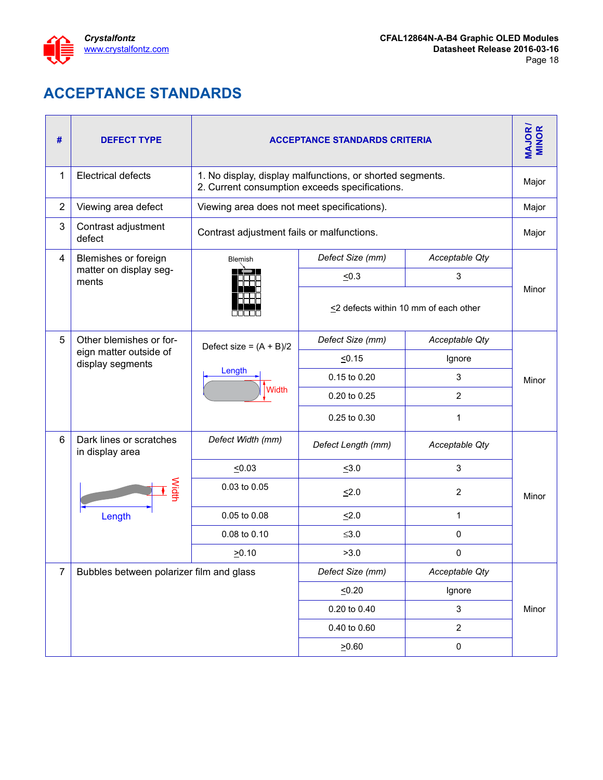

## **ACCEPTANCE STANDARDS**

<span id="page-17-1"></span><span id="page-17-0"></span>

| #              | <b>DEFECT TYPE</b>                         | <b>ACCEPTANCE STANDARDS CRITERIA</b>        |                                                                                                             |                                             |       |  |  |
|----------------|--------------------------------------------|---------------------------------------------|-------------------------------------------------------------------------------------------------------------|---------------------------------------------|-------|--|--|
| 1              | <b>Electrical defects</b>                  |                                             | 1. No display, display malfunctions, or shorted segments.<br>2. Current consumption exceeds specifications. |                                             |       |  |  |
| $\overline{2}$ | Viewing area defect                        | Viewing area does not meet specifications). |                                                                                                             |                                             | Major |  |  |
| 3              | Contrast adjustment<br>defect              | Contrast adjustment fails or malfunctions.  |                                                                                                             |                                             | Major |  |  |
| 4              | Blemishes or foreign                       | Blemish                                     | Defect Size (mm)                                                                                            | Acceptable Qty                              |       |  |  |
|                | matter on display seg-<br>ments            |                                             | $\leq 0.3$                                                                                                  | 3                                           |       |  |  |
|                |                                            |                                             |                                                                                                             | $\leq$ 2 defects within 10 mm of each other | Minor |  |  |
| 5              | Other blemishes or for-                    | Defect size = $(A + B)/2$                   | Defect Size (mm)                                                                                            | Acceptable Qty                              |       |  |  |
|                | eign matter outside of<br>display segments |                                             | 50.15                                                                                                       | Ignore                                      |       |  |  |
|                |                                            | Length                                      | 0.15 to 0.20                                                                                                | 3                                           | Minor |  |  |
|                |                                            | <b>Width</b>                                | 0.20 to 0.25                                                                                                | $\overline{2}$                              |       |  |  |
|                |                                            |                                             | 0.25 to 0.30                                                                                                | 1                                           |       |  |  |
| 6              | Dark lines or scratches<br>in display area | Defect Width (mm)                           | Defect Length (mm)                                                                                          | Acceptable Qty                              |       |  |  |
|                |                                            | $\leq 0.03$                                 | $\leq 3.0$                                                                                                  | $\sqrt{3}$                                  |       |  |  |
|                | Width                                      | 0.03 to 0.05                                | $\leq 2.0$                                                                                                  | 2                                           | Minor |  |  |
|                | Length                                     | 0.05 to 0.08                                | $\leq 2.0$                                                                                                  | $\mathbf 1$                                 |       |  |  |
|                |                                            | 0.08 to 0.10                                | $≤3.0$                                                                                                      | 0                                           |       |  |  |
|                |                                            | $\geq 0.10$                                 | >3.0                                                                                                        | 0                                           |       |  |  |
| $\overline{7}$ | Bubbles between polarizer film and glass   |                                             | Defect Size (mm)                                                                                            | Acceptable Qty                              |       |  |  |
|                |                                            |                                             | 50.20                                                                                                       | Ignore                                      |       |  |  |
|                |                                            |                                             | 0.20 to 0.40                                                                                                | $\mathbf{3}$                                | Minor |  |  |
|                |                                            |                                             | 0.40 to 0.60                                                                                                | $\mathbf{2}$                                |       |  |  |
|                |                                            |                                             | 20.60                                                                                                       | 0                                           |       |  |  |